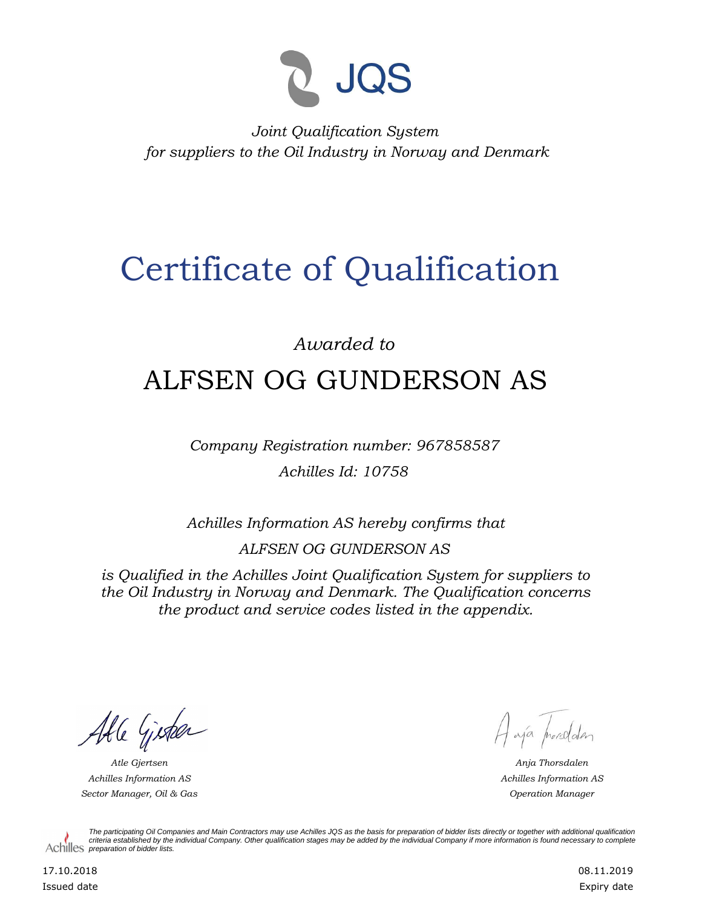

*Joint Qualification System for suppliers to the Oil Industry in Norway and Denmark*

## Certificate of Qualification

## *Awarded to* ALFSEN OG GUNDERSON AS

*Company Registration number: 967858587 Achilles Id: 10758*

*Achilles Information AS hereby confirms that ALFSEN OG GUNDERSON AS*

*is Qualified in the Achilles Joint Qualification System for suppliers to the Oil Industry in Norway and Denmark. The Qualification concerns the product and service codes listed in the appendix.*

Able Gister

*Achilles Information AS Sector Manager, Oil & Gas Operation Manager*

Haja procedater

*Atle Gjertsen Anja Thorsdalen Achilles Information AS*

*The participating Oil Companies and Main Contractors may use Achilles JQS as the basis for preparation of bidder lists directly or together with additional qualification criteria established by the individual Company. Other qualification stages may be added by the individual Company if more information is found necessary to complete*  Achilles *preparation of bidder lists*.

17.10.2018 Issued date